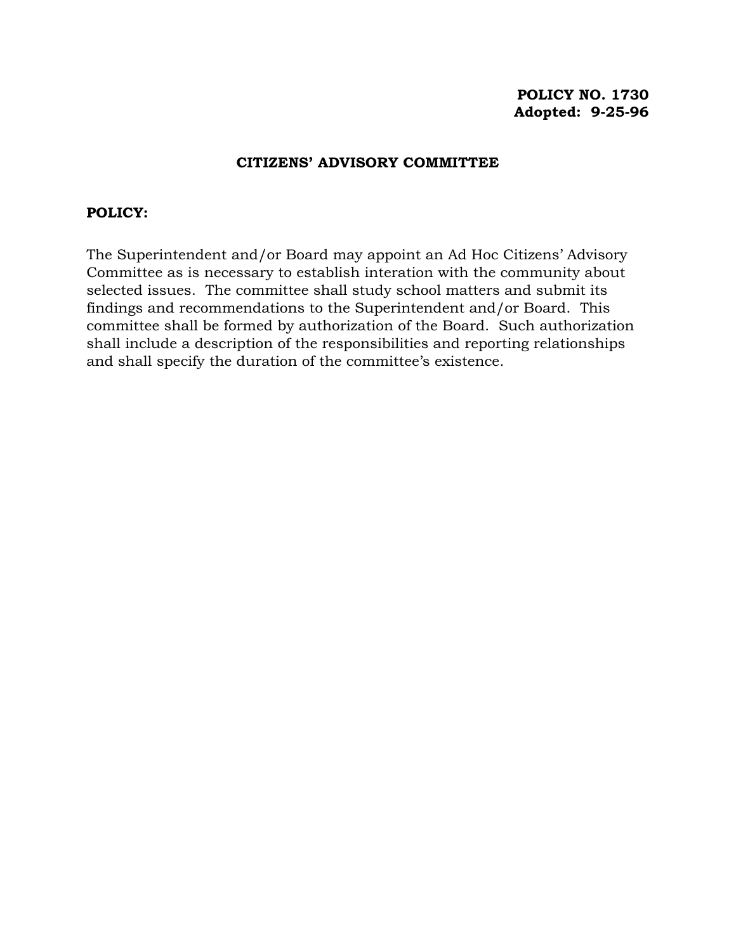# **POLICY NO. 1730 Adopted: 9-25-96**

# **CITIZENS' ADVISORY COMMITTEE**

## **POLICY:**

The Superintendent and/or Board may appoint an Ad Hoc Citizens' Advisory Committee as is necessary to establish interation with the community about selected issues. The committee shall study school matters and submit its findings and recommendations to the Superintendent and/or Board. This committee shall be formed by authorization of the Board. Such authorization shall include a description of the responsibilities and reporting relationships and shall specify the duration of the committee's existence.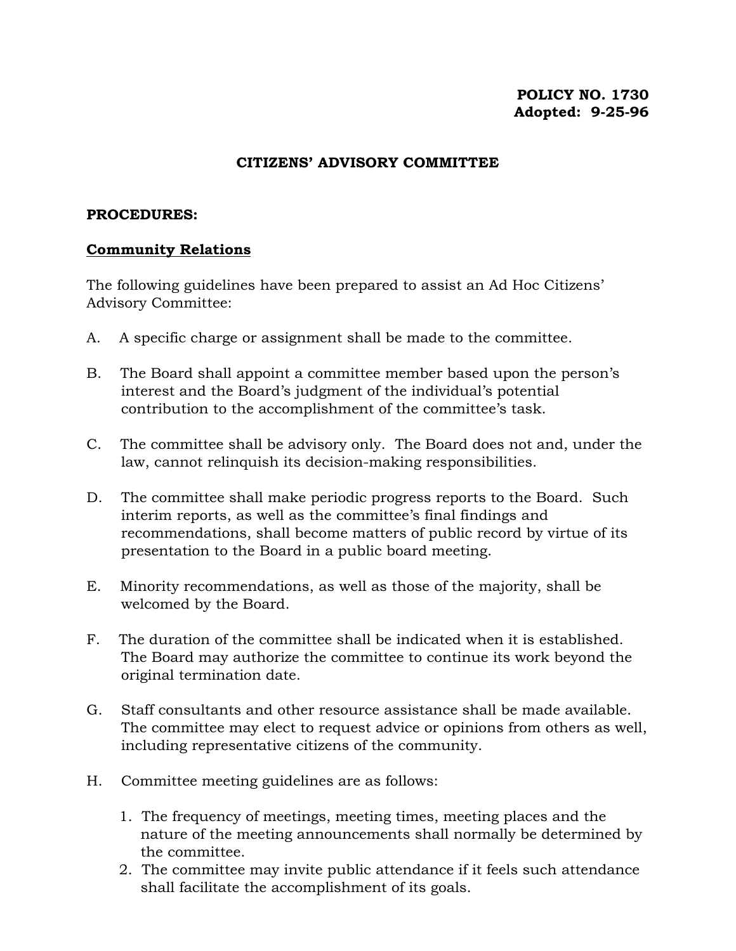# **POLICY NO. 1730 Adopted: 9-25-96**

## **CITIZENS' ADVISORY COMMITTEE**

#### **PROCEDURES:**

### **Community Relations**

The following guidelines have been prepared to assist an Ad Hoc Citizens' Advisory Committee:

- A. A specific charge or assignment shall be made to the committee.
- B. The Board shall appoint a committee member based upon the person's interest and the Board's judgment of the individual's potential contribution to the accomplishment of the committee's task.
- C. The committee shall be advisory only. The Board does not and, under the law, cannot relinquish its decision-making responsibilities.
- D. The committee shall make periodic progress reports to the Board. Such interim reports, as well as the committee's final findings and recommendations, shall become matters of public record by virtue of its presentation to the Board in a public board meeting.
- E. Minority recommendations, as well as those of the majority, shall be welcomed by the Board.
- F. The duration of the committee shall be indicated when it is established. The Board may authorize the committee to continue its work beyond the original termination date.
- G. Staff consultants and other resource assistance shall be made available. The committee may elect to request advice or opinions from others as well, including representative citizens of the community.
- H. Committee meeting guidelines are as follows:
	- 1. The frequency of meetings, meeting times, meeting places and the nature of the meeting announcements shall normally be determined by the committee.
	- 2. The committee may invite public attendance if it feels such attendance shall facilitate the accomplishment of its goals.